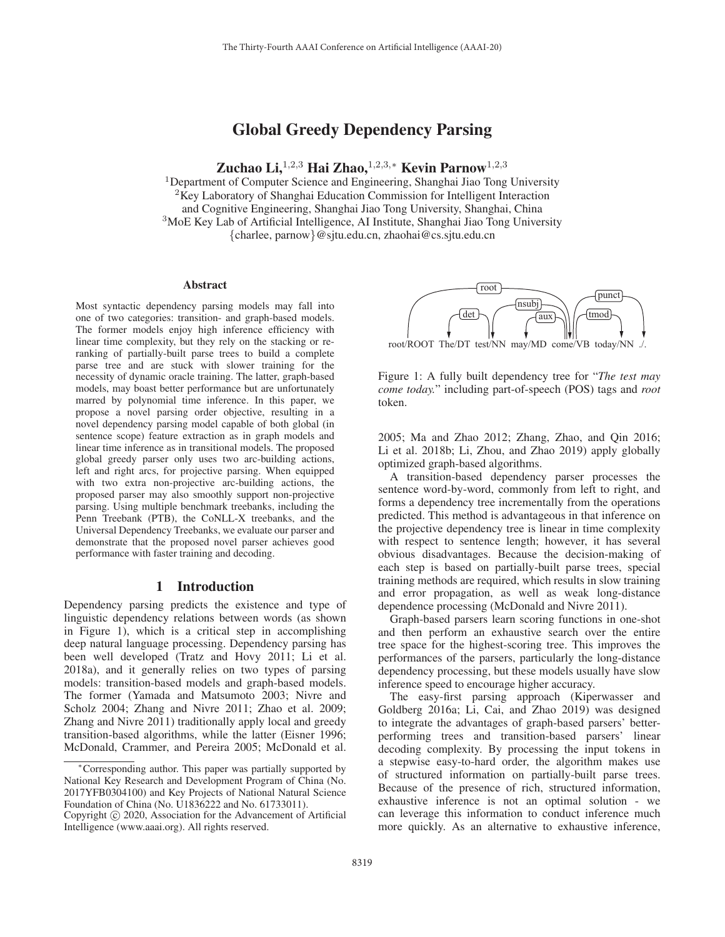# Global Greedy Dependency Parsing

Zuchao Li,<sup>1,2,3</sup> Hai Zhao,<sup>1,2,3,∗</sup> Kevin Parnow<sup>1,2,3</sup>

<sup>1</sup>Department of Computer Science and Engineering, Shanghai Jiao Tong University <sup>2</sup>Key Laboratory of Shanghai Education Commission for Intelligent Interaction and Cognitive Engineering, Shanghai Jiao Tong University, Shanghai, China <sup>3</sup>MoE Key Lab of Artificial Intelligence, AI Institute, Shanghai Jiao Tong University {charlee, parnow}@sjtu.edu.cn, zhaohai@cs.sjtu.edu.cn

#### Abstract

Most syntactic dependency parsing models may fall into one of two categories: transition- and graph-based models. The former models enjoy high inference efficiency with linear time complexity, but they rely on the stacking or reranking of partially-built parse trees to build a complete parse tree and are stuck with slower training for the necessity of dynamic oracle training. The latter, graph-based models, may boast better performance but are unfortunately marred by polynomial time inference. In this paper, we propose a novel parsing order objective, resulting in a novel dependency parsing model capable of both global (in sentence scope) feature extraction as in graph models and linear time inference as in transitional models. The proposed global greedy parser only uses two arc-building actions, left and right arcs, for projective parsing. When equipped with two extra non-projective arc-building actions, the proposed parser may also smoothly support non-projective parsing. Using multiple benchmark treebanks, including the Penn Treebank (PTB), the CoNLL-X treebanks, and the Universal Dependency Treebanks, we evaluate our parser and demonstrate that the proposed novel parser achieves good performance with faster training and decoding.

## 1 Introduction

Dependency parsing predicts the existence and type of linguistic dependency relations between words (as shown in Figure 1), which is a critical step in accomplishing deep natural language processing. Dependency parsing has been well developed (Tratz and Hovy 2011; Li et al. 2018a), and it generally relies on two types of parsing models: transition-based models and graph-based models. The former (Yamada and Matsumoto 2003; Nivre and Scholz 2004; Zhang and Nivre 2011; Zhao et al. 2009; Zhang and Nivre 2011) traditionally apply local and greedy transition-based algorithms, while the latter (Eisner 1996; McDonald, Crammer, and Pereira 2005; McDonald et al.



root/ROOT The/DT test/NN may/MD come/VB today/NN

Figure 1: A fully built dependency tree for "*The test may come today.*" including part-of-speech (POS) tags and *root* token.

2005; Ma and Zhao 2012; Zhang, Zhao, and Qin 2016; Li et al. 2018b; Li, Zhou, and Zhao 2019) apply globally optimized graph-based algorithms.

A transition-based dependency parser processes the sentence word-by-word, commonly from left to right, and forms a dependency tree incrementally from the operations predicted. This method is advantageous in that inference on the projective dependency tree is linear in time complexity with respect to sentence length; however, it has several obvious disadvantages. Because the decision-making of each step is based on partially-built parse trees, special training methods are required, which results in slow training and error propagation, as well as weak long-distance dependence processing (McDonald and Nivre 2011).

Graph-based parsers learn scoring functions in one-shot and then perform an exhaustive search over the entire tree space for the highest-scoring tree. This improves the performances of the parsers, particularly the long-distance dependency processing, but these models usually have slow inference speed to encourage higher accuracy.

The easy-first parsing approach (Kiperwasser and Goldberg 2016a; Li, Cai, and Zhao 2019) was designed to integrate the advantages of graph-based parsers' betterperforming trees and transition-based parsers' linear decoding complexity. By processing the input tokens in a stepwise easy-to-hard order, the algorithm makes use of structured information on partially-built parse trees. Because of the presence of rich, structured information, exhaustive inference is not an optimal solution - we can leverage this information to conduct inference much more quickly. As an alternative to exhaustive inference,

<sup>∗</sup>Corresponding author. This paper was partially supported by National Key Research and Development Program of China (No. 2017YFB0304100) and Key Projects of National Natural Science Foundation of China (No. U1836222 and No. 61733011).

Copyright  $\odot$  2020, Association for the Advancement of Artificial Intelligence (www.aaai.org). All rights reserved.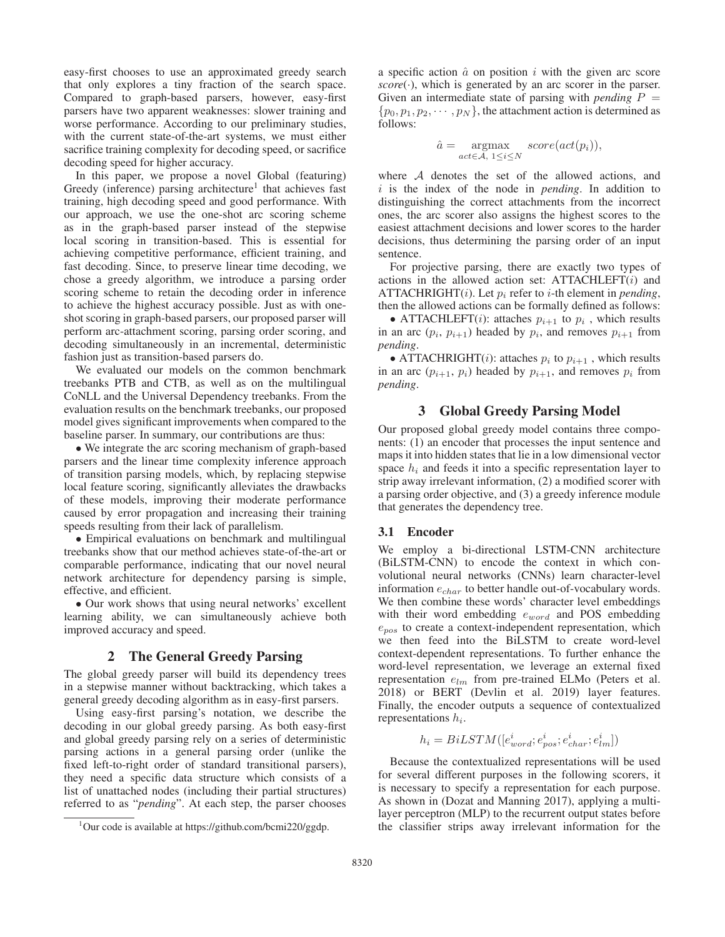easy-first chooses to use an approximated greedy search that only explores a tiny fraction of the search space. Compared to graph-based parsers, however, easy-first parsers have two apparent weaknesses: slower training and worse performance. According to our preliminary studies, with the current state-of-the-art systems, we must either sacrifice training complexity for decoding speed, or sacrifice decoding speed for higher accuracy.

In this paper, we propose a novel Global (featuring) Greedy (inference) parsing architecture<sup>1</sup> that achieves fast training, high decoding speed and good performance. With our approach, we use the one-shot arc scoring scheme as in the graph-based parser instead of the stepwise local scoring in transition-based. This is essential for achieving competitive performance, efficient training, and fast decoding. Since, to preserve linear time decoding, we chose a greedy algorithm, we introduce a parsing order scoring scheme to retain the decoding order in inference to achieve the highest accuracy possible. Just as with oneshot scoring in graph-based parsers, our proposed parser will perform arc-attachment scoring, parsing order scoring, and decoding simultaneously in an incremental, deterministic fashion just as transition-based parsers do.

We evaluated our models on the common benchmark treebanks PTB and CTB, as well as on the multilingual CoNLL and the Universal Dependency treebanks. From the evaluation results on the benchmark treebanks, our proposed model gives significant improvements when compared to the baseline parser. In summary, our contributions are thus:

• We integrate the arc scoring mechanism of graph-based parsers and the linear time complexity inference approach of transition parsing models, which, by replacing stepwise local feature scoring, significantly alleviates the drawbacks of these models, improving their moderate performance caused by error propagation and increasing their training speeds resulting from their lack of parallelism.

• Empirical evaluations on benchmark and multilingual treebanks show that our method achieves state-of-the-art or comparable performance, indicating that our novel neural network architecture for dependency parsing is simple, effective, and efficient.

• Our work shows that using neural networks' excellent learning ability, we can simultaneously achieve both improved accuracy and speed.

## 2 The General Greedy Parsing

The global greedy parser will build its dependency trees in a stepwise manner without backtracking, which takes a general greedy decoding algorithm as in easy-first parsers.

Using easy-first parsing's notation, we describe the decoding in our global greedy parsing. As both easy-first and global greedy parsing rely on a series of deterministic parsing actions in a general parsing order (unlike the fixed left-to-right order of standard transitional parsers), they need a specific data structure which consists of a list of unattached nodes (including their partial structures) referred to as "*pending*". At each step, the parser chooses

a specific action  $\hat{a}$  on position i with the given arc score  $score(\cdot)$ , which is generated by an arc scorer in the parser. Given an intermediate state of parsing with *pending*  $P =$  $\{p_0, p_1, p_2, \cdots, p_N\}$ , the attachment action is determined as follows:

$$
\hat{a} = \underset{act \in \mathcal{A}, \ 1 \leq i \leq N}{\text{argmax}} score(act(p_i)),
$$

where  $A$  denotes the set of the allowed actions, and i is the index of the node in *pending*. In addition to distinguishing the correct attachments from the incorrect ones, the arc scorer also assigns the highest scores to the easiest attachment decisions and lower scores to the harder decisions, thus determining the parsing order of an input sentence.

For projective parsing, there are exactly two types of actions in the allowed action set:  $ATTACHLEFT(i)$  and ATTACHRIGHT(i). Let  $p_i$  refer to *i*-th element in *pending*, then the allowed actions can be formally defined as follows:

• ATTACHLEFT(*i*): attaches  $p_{i+1}$  to  $p_i$ , which results in an arc  $(p_i, p_{i+1})$  headed by  $p_i$ , and removes  $p_{i+1}$  from *pending*.

• ATTACHRIGHT(*i*): attaches  $p_i$  to  $p_{i+1}$ , which results in an arc  $(p_{i+1}, p_i)$  headed by  $p_{i+1}$ , and removes  $p_i$  from *pending*.

# 3 Global Greedy Parsing Model

Our proposed global greedy model contains three components: (1) an encoder that processes the input sentence and maps it into hidden states that lie in a low dimensional vector space  $h_i$  and feeds it into a specific representation layer to strip away irrelevant information, (2) a modified scorer with a parsing order objective, and (3) a greedy inference module that generates the dependency tree.

## 3.1 Encoder

We employ a bi-directional LSTM-CNN architecture (BiLSTM-CNN) to encode the context in which convolutional neural networks (CNNs) learn character-level information  $e_{char}$  to better handle out-of-vocabulary words. We then combine these words' character level embeddings with their word embedding  $e_{word}$  and POS embedding  $e_{pos}$  to create a context-independent representation, which we then feed into the BiLSTM to create word-level context-dependent representations. To further enhance the word-level representation, we leverage an external fixed representation  $e_{lm}$  from pre-trained ELMo (Peters et al. 2018) or BERT (Devlin et al. 2019) layer features. Finally, the encoder outputs a sequence of contextualized representations  $h_i$ .

$$
h_i = BiLSTM([e^i_{word};e^i_{pos};e^i_{char};e^i_{lm}])
$$

Because the contextualized representations will be used for several different purposes in the following scorers, it is necessary to specify a representation for each purpose. As shown in (Dozat and Manning 2017), applying a multilayer perceptron (MLP) to the recurrent output states before the classifier strips away irrelevant information for the

<sup>&</sup>lt;sup>1</sup>Our code is available at https://github.com/bcmi220/ggdp.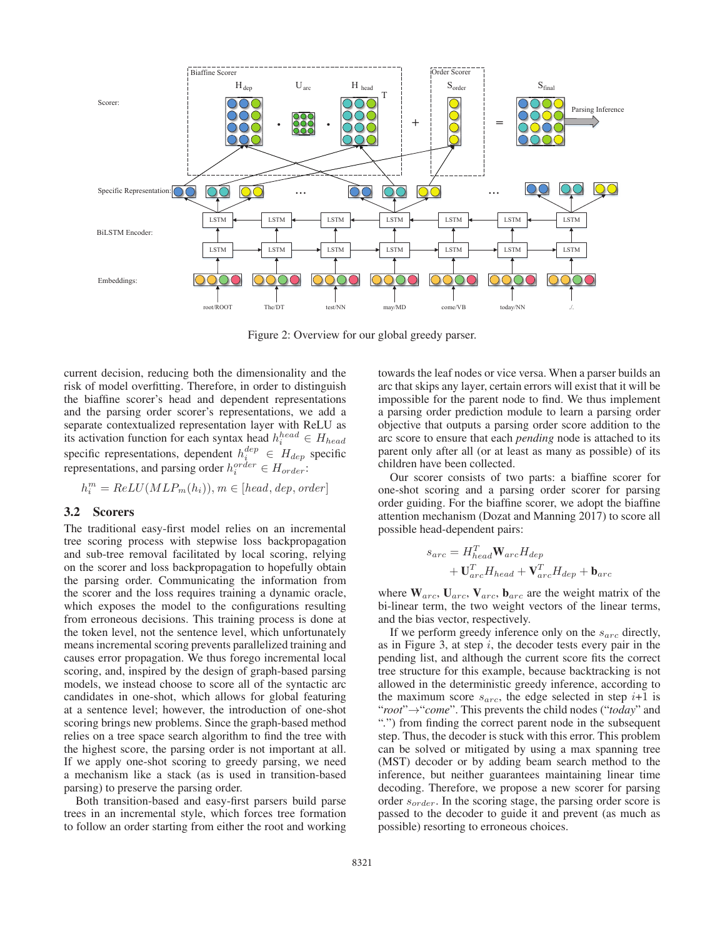

Figure 2: Overview for our global greedy parser.

current decision, reducing both the dimensionality and the risk of model overfitting. Therefore, in order to distinguish the biaffine scorer's head and dependent representations and the parsing order scorer's representations, we add a separate contextualized representation layer with ReLU as its activation function for each syntax head  $h_i^{head} \in H_{head}$ specific representations, dependent  $h_i^{dep} \in H_{dep}$  specific representations, and parsing order  $h_i^{order} \in H_{order}$ :

$$
h_i^m = ReLU(MLP_m(h_i)), m \in [head, dep, order]
$$

## 3.2 Scorers

The traditional easy-first model relies on an incremental tree scoring process with stepwise loss backpropagation and sub-tree removal facilitated by local scoring, relying on the scorer and loss backpropagation to hopefully obtain the parsing order. Communicating the information from the scorer and the loss requires training a dynamic oracle, which exposes the model to the configurations resulting from erroneous decisions. This training process is done at the token level, not the sentence level, which unfortunately means incremental scoring prevents parallelized training and causes error propagation. We thus forego incremental local scoring, and, inspired by the design of graph-based parsing models, we instead choose to score all of the syntactic arc candidates in one-shot, which allows for global featuring at a sentence level; however, the introduction of one-shot scoring brings new problems. Since the graph-based method relies on a tree space search algorithm to find the tree with the highest score, the parsing order is not important at all. If we apply one-shot scoring to greedy parsing, we need a mechanism like a stack (as is used in transition-based parsing) to preserve the parsing order.

Both transition-based and easy-first parsers build parse trees in an incremental style, which forces tree formation to follow an order starting from either the root and working

towards the leaf nodes or vice versa. When a parser builds an arc that skips any layer, certain errors will exist that it will be impossible for the parent node to find. We thus implement a parsing order prediction module to learn a parsing order objective that outputs a parsing order score addition to the arc score to ensure that each *pending* node is attached to its parent only after all (or at least as many as possible) of its children have been collected.

Our scorer consists of two parts: a biaffine scorer for one-shot scoring and a parsing order scorer for parsing order guiding. For the biaffine scorer, we adopt the biaffine attention mechanism (Dozat and Manning 2017) to score all possible head-dependent pairs:

$$
s_{arc} = H_{head}^T \mathbf{W}_{arc} H_{dep}
$$
  
+  $\mathbf{U}_{arc}^T H_{head} + \mathbf{V}_{arc}^T H_{dep} + \mathbf{b}_{arc}$ 

where  $W_{arc}$ ,  $U_{arc}$ ,  $V_{arc}$ ,  $b_{arc}$  are the weight matrix of the bi-linear term, the two weight vectors of the linear terms, and the bias vector, respectively.

If we perform greedy inference only on the  $s_{arc}$  directly, as in Figure 3, at step  $i$ , the decoder tests every pair in the pending list, and although the current score fits the correct tree structure for this example, because backtracking is not allowed in the deterministic greedy inference, according to the maximum score  $s_{arc}$ , the edge selected in step  $i+1$  is "*root*"→"*come*". This prevents the child nodes ("*today*" and "*.*") from finding the correct parent node in the subsequent step. Thus, the decoder is stuck with this error. This problem can be solved or mitigated by using a max spanning tree (MST) decoder or by adding beam search method to the inference, but neither guarantees maintaining linear time decoding. Therefore, we propose a new scorer for parsing order  $s_{order}$ . In the scoring stage, the parsing order score is passed to the decoder to guide it and prevent (as much as possible) resorting to erroneous choices.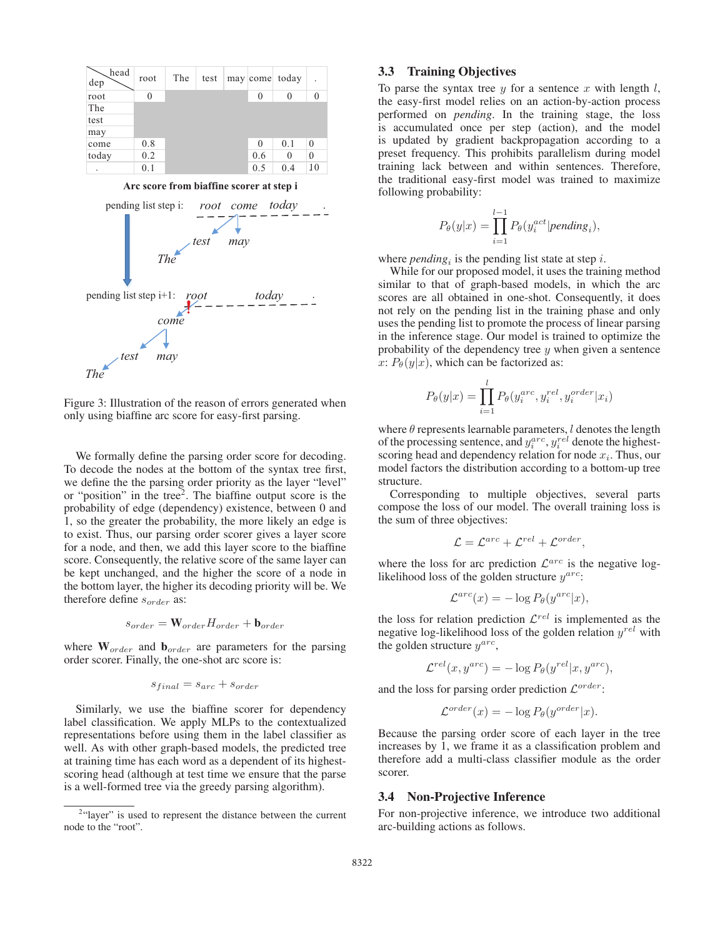| head<br>dep | root     | The | test |     |          | may come today   |              |
|-------------|----------|-----|------|-----|----------|------------------|--------------|
| root        | $\theta$ |     |      |     | $\Omega$ | 0                | $\mathbf{0}$ |
| The         |          |     |      |     |          |                  |              |
| test        |          |     |      |     |          |                  |              |
| may         |          |     |      |     |          |                  |              |
| come        | 0.8      |     |      |     | $\theta$ | 0.1              | $\mathbf{0}$ |
| today       | 0.2      |     |      | 0.6 | 0        | $\boldsymbol{0}$ |              |
|             | 0.1      |     |      | 0.5 | 0.4      | 10               |              |

Arc score from biaffine scorer at step i



Figure 3: Illustration of the reason of errors generated when only using biaffine arc score for easy-first parsing.

We formally define the parsing order score for decoding. To decode the nodes at the bottom of the syntax tree first, we define the the parsing order priority as the layer "level" or "position" in the tree2. The biaffine output score is the probability of edge (dependency) existence, between 0 and 1, so the greater the probability, the more likely an edge is to exist. Thus, our parsing order scorer gives a layer score for a node, and then, we add this layer score to the biaffine score. Consequently, the relative score of the same layer can be kept unchanged, and the higher the score of a node in the bottom layer, the higher its decoding priority will be. We therefore define  $s_{order}$  as:

$$
s_{order} = \mathbf{W}_{order} H_{order} + \mathbf{b}_{order}
$$

where  $\mathbf{W}_{order}$  and  $\mathbf{b}_{order}$  are parameters for the parsing order scorer. Finally, the one-shot arc score is:

$$
s_{final} = s_{arc} + s_{order}
$$

Similarly, we use the biaffine scorer for dependency label classification. We apply MLPs to the contextualized representations before using them in the label classifier as well. As with other graph-based models, the predicted tree at training time has each word as a dependent of its highestscoring head (although at test time we ensure that the parse is a well-formed tree via the greedy parsing algorithm).

# 3.3 Training Objectives

To parse the syntax tree  $y$  for a sentence  $x$  with length  $l$ , the easy-first model relies on an action-by-action process performed on *pending*. In the training stage, the loss is accumulated once per step (action), and the model is updated by gradient backpropagation according to a preset frequency. This prohibits parallelism during model training lack between and within sentences. Therefore, the traditional easy-first model was trained to maximize following probability:

$$
P_{\theta}(y|x) = \prod_{i=1}^{l-1} P_{\theta}(y_i^{act} | pending_i),
$$

where *pending*<sub>i</sub> is the pending list state at step i.

While for our proposed model, it uses the training method similar to that of graph-based models, in which the arc scores are all obtained in one-shot. Consequently, it does not rely on the pending list in the training phase and only uses the pending list to promote the process of linear parsing in the inference stage. Our model is trained to optimize the probability of the dependency tree  $y$  when given a sentence x:  $P_{\theta}(y|x)$ , which can be factorized as:

$$
P_{\theta}(y|x) = \prod_{i=1}^{l} P_{\theta}(y_i^{arc}, y_i^{rel}, y_i^{order}|x_i)
$$

where  $\theta$  represents learnable parameters,  $l$  denotes the length of the processing sentence, and  $y_i^{arc}$ ,  $y_i^{rel}$  denote the highestscoring head and dependency relation for node  $x_i$ . Thus, our model factors the distribution according to a bottom-up tree structure.

Corresponding to multiple objectives, several parts compose the loss of our model. The overall training loss is the sum of three objectives:

$$
\mathcal{L} = \mathcal{L}^{arc} + \mathcal{L}^{rel} + \mathcal{L}^{order},
$$

where the loss for arc prediction  $\mathcal{L}^{arc}$  is the negative loglikelihood loss of the golden structure  $y^{arc}$ :

$$
\mathcal{L}^{arc}(x) = -\log P_{\theta}(y^{arc}|x),
$$

the loss for relation prediction  $\mathcal{L}^{rel}$  is implemented as the negative log-likelihood loss of the golden relation  $y^{rel}$  with the golden structure  $y^{arc}$ ,

$$
\mathcal{L}^{rel}(x, y^{arc}) = -\log P_{\theta}(y^{rel}|x, y^{arc}),
$$

and the loss for parsing order prediction  $\mathcal{L}^{order}$ :

$$
\mathcal{L}^{order}(x) = -\log P_{\theta}(y^{order}|x).
$$

Because the parsing order score of each layer in the tree increases by 1, we frame it as a classification problem and therefore add a multi-class classifier module as the order scorer.

## 3.4 Non-Projective Inference

For non-projective inference, we introduce two additional arc-building actions as follows.

<sup>&</sup>lt;sup>2</sup>"layer" is used to represent the distance between the current node to the "root".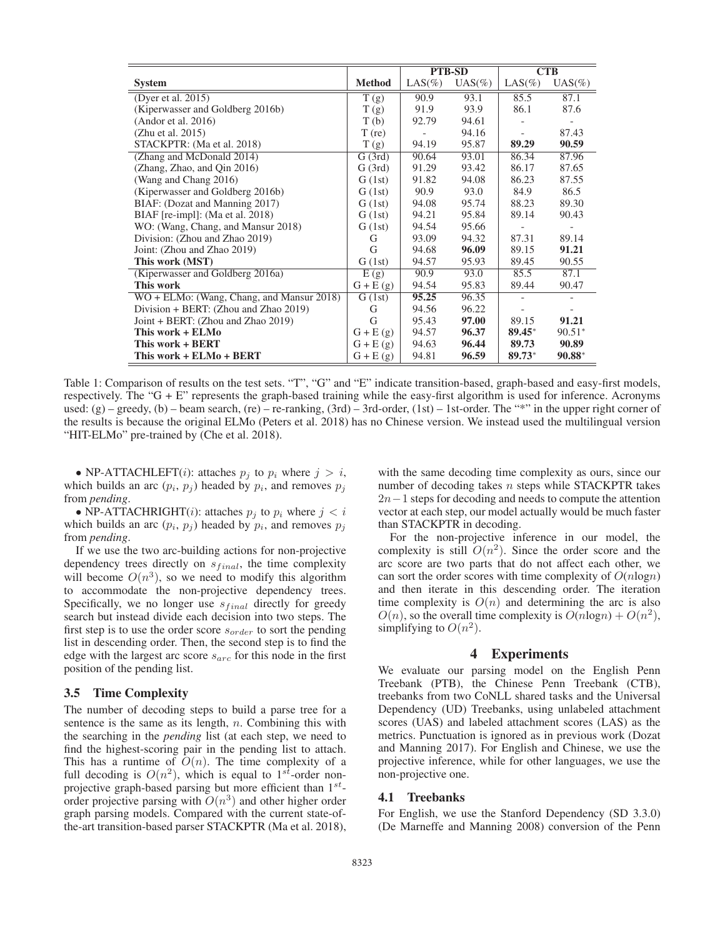|                                           |                   |            | <b>PTB-SD</b> |          | <b>CTB</b> |
|-------------------------------------------|-------------------|------------|---------------|----------|------------|
| <b>System</b>                             | <b>Method</b>     | $LAS(\% )$ | $UAS(\%)$     | $LAS$ %) | $UAS(\%)$  |
| (Dyer et al. 2015)                        | $\overline{T(g)}$ | 90.9       | 93.1          | 85.5     | 87.1       |
| (Kiperwasser and Goldberg 2016b)          | T(g)              | 91.9       | 93.9          | 86.1     | 87.6       |
| (Andor et al. 2016)                       | T(b)              | 92.79      | 94.61         |          |            |
| (Zhu et al. 2015)                         | $T$ (re)          |            | 94.16         |          | 87.43      |
| STACKPTR: (Ma et al. 2018)                | T(g)              | 94.19      | 95.87         | 89.29    | 90.59      |
| (Zhang and McDonald 2014)                 | G(3rd)            | 90.64      | 93.01         | 86.34    | 87.96      |
| (Zhang, Zhao, and Qin 2016)               | G(3rd)            | 91.29      | 93.42         | 86.17    | 87.65      |
| (Wang and Chang 2016)                     | G(1st)            | 91.82      | 94.08         | 86.23    | 87.55      |
| (Kiperwasser and Goldberg 2016b)          | G(1st)            | 90.9       | 93.0          | 84.9     | 86.5       |
| BIAF: (Dozat and Manning 2017)            | G(1st)            | 94.08      | 95.74         | 88.23    | 89.30      |
| BIAF [re-impl]: (Ma et al. 2018)          | G(1st)            | 94.21      | 95.84         | 89.14    | 90.43      |
| WO: (Wang, Chang, and Mansur 2018)        | G(1st)            | 94.54      | 95.66         |          |            |
| Division: (Zhou and Zhao 2019)            | G                 | 93.09      | 94.32         | 87.31    | 89.14      |
| Joint: (Zhou and Zhao 2019)               | G                 | 94.68      | 96.09         | 89.15    | 91.21      |
| This work (MST)                           | G(1st)            | 94.57      | 95.93         | 89.45    | 90.55      |
| (Kiperwasser and Goldberg 2016a)          | E(g)              | 90.9       | 93.0          | 85.5     | 87.1       |
| This work                                 | $G + E(g)$        | 94.54      | 95.83         | 89.44    | 90.47      |
| WO + ELMo: (Wang, Chang, and Mansur 2018) | G(1st)            | 95.25      | 96.35         |          |            |
| Division + BERT: (Zhou and Zhao 2019)     | G                 | 94.56      | 96.22         |          |            |
| Joint + BERT: (Zhou and Zhao 2019)        | G                 | 95.43      | 97.00         | 89.15    | 91.21      |
| This work + ELMo                          | $G + E(g)$        | 94.57      | 96.37         | $89.45*$ | $90.51*$   |
| This work + BERT                          | $G + E(g)$        | 94.63      | 96.44         | 89.73    | 90.89      |
| This work + ELMo + BERT                   | $G + E(g)$        | 94.81      | 96.59         | 89.73*   | $90.88*$   |

Table 1: Comparison of results on the test sets. "T", "G" and "E" indicate transition-based, graph-based and easy-first models, respectively. The "G + E" represents the graph-based training while the easy-first algorithm is used for inference. Acronyms used:  $(g)$  – greedy,  $(b)$  – beam search,  $(re)$  – re-ranking,  $(3rd)$  – 3rd-order,  $(1st)$  – 1st-order. The "\*" in the upper right corner of the results is because the original ELMo (Peters et al. 2018) has no Chinese version. We instead used the multilingual version "HIT-ELMo" pre-trained by (Che et al. 2018).

• NP-ATTACHLEFT(*i*): attaches  $p_j$  to  $p_i$  where  $j>i$ , which builds an arc  $(p_i, p_j)$  headed by  $p_i$ , and removes  $p_j$ from *pending*.

• NP-ATTACHRIGHT(*i*): attaches  $p_i$  to  $p_i$  where  $j < i$ which builds an arc  $(p_i, p_j)$  headed by  $p_i$ , and removes  $p_j$ from *pending*.

If we use the two arc-building actions for non-projective dependency trees directly on  $s_{final}$ , the time complexity will become  $O(n^3)$ , so we need to modify this algorithm to accommodate the non-projective dependency trees. Specifically, we no longer use  $s_{final}$  directly for greedy search but instead divide each decision into two steps. The first step is to use the order score  $s_{order}$  to sort the pending list in descending order. Then, the second step is to find the edge with the largest arc score  $s_{arc}$  for this node in the first position of the pending list.

## 3.5 Time Complexity

The number of decoding steps to build a parse tree for a sentence is the same as its length,  $n$ . Combining this with the searching in the *pending* list (at each step, we need to find the highest-scoring pair in the pending list to attach. This has a runtime of  $O(n)$ . The time complexity of a full decoding is  $O(n^2)$ , which is equal to 1<sup>st</sup>-order nonprojective graph-based parsing but more efficient than  $1^{st}$ order projective parsing with  $O(n^3)$  and other higher order graph parsing models. Compared with the current state-ofthe-art transition-based parser STACKPTR (Ma et al. 2018),

with the same decoding time complexity as ours, since our number of decoding takes  $n$  steps while STACKPTR takes  $2n-1$  steps for decoding and needs to compute the attention vector at each step, our model actually would be much faster than STACKPTR in decoding.

For the non-projective inference in our model, the complexity is still  $O(n^2)$ . Since the order score and the arc score are two parts that do not affect each other, we can sort the order scores with time complexity of  $O(n \log n)$ and then iterate in this descending order. The iteration time complexity is  $O(n)$  and determining the arc is also  $O(n)$ , so the overall time complexity is  $O(n \log n) + O(n^2)$ , simplifying to  $O(n^2)$ .

# 4 Experiments

We evaluate our parsing model on the English Penn Treebank (PTB), the Chinese Penn Treebank (CTB), treebanks from two CoNLL shared tasks and the Universal Dependency (UD) Treebanks, using unlabeled attachment scores (UAS) and labeled attachment scores (LAS) as the metrics. Punctuation is ignored as in previous work (Dozat and Manning 2017). For English and Chinese, we use the projective inference, while for other languages, we use the non-projective one.

## 4.1 Treebanks

For English, we use the Stanford Dependency (SD 3.3.0) (De Marneffe and Manning 2008) conversion of the Penn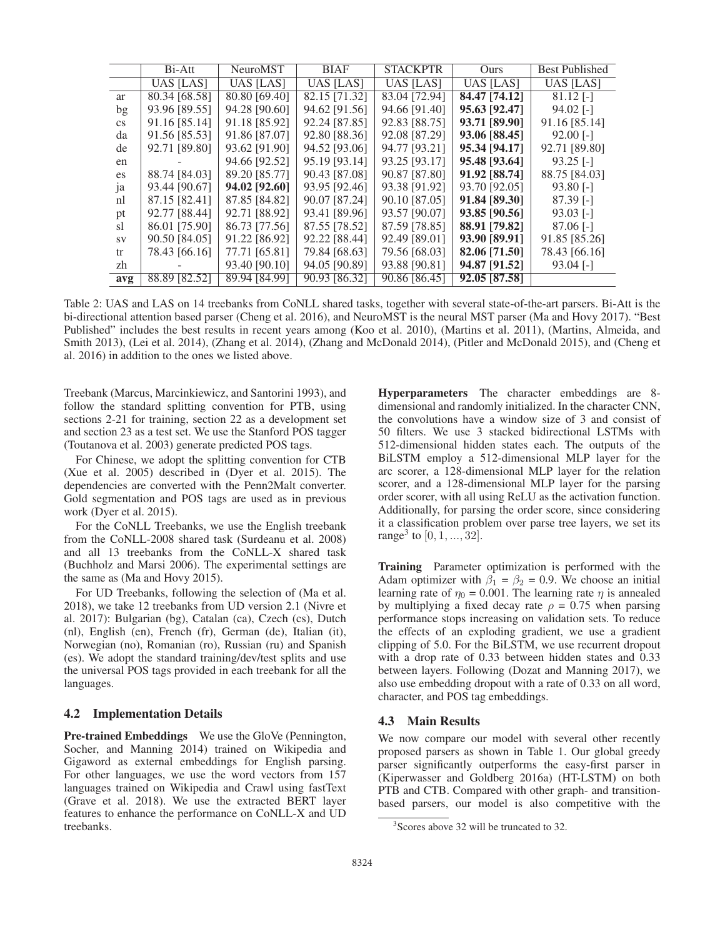|                        | Bi-Att        | <b>NeuroMST</b> | <b>BIAF</b>            | <b>STACKPTR</b> | Ours          | <b>Best Published</b> |
|------------------------|---------------|-----------------|------------------------|-----------------|---------------|-----------------------|
|                        | UAS [LAS]     | UAS [LAS]       | $\overline{UAS}$ [LAS] | UAS [LAS]       | $UAS$ [LAS]   | UAS [LAS]             |
| ar                     | 80.34 [68.58] | 80.80 [69.40]   | 82.15 [71.32]          | 83.04 [72.94]   | 84.47 [74.12] | $81.12$ [-]           |
| bg                     | 93.96 [89.55] | 94.28 [90.60]   | 94.62 [91.56]          | 94.66 [91.40]   | 95.63 [92.47] | $94.02$ [-]           |
| $\mathbf{c}\mathbf{s}$ | 91.16 [85.14] | 91.18 [85.92]   | 92.24 [87.85]          | 92.83 [88.75]   | 93.71 [89.90] | 91.16 [85.14]         |
| da                     | 91.56 [85.53] | 91.86 [87.07]   | 92.80 [88.36]          | 92.08 [87.29]   | 93.06 [88.45] | $92.00$ [-]           |
| de                     | 92.71 [89.80] | 93.62 [91.90]   | 94.52 [93.06]          | 94.77 [93.21]   | 95.34 [94.17] | 92.71 [89.80]         |
| en                     |               | 94.66 [92.52]   | 95.19 [93.14]          | 93.25 [93.17]   | 95.48 [93.64] | $93.25$ [-]           |
| es                     | 88.74 [84.03] | 89.20 [85.77]   | 90.43 [87.08]          | 90.87 [87.80]   | 91.92 [88.74] | 88.75 [84.03]         |
| ja                     | 93.44 [90.67] | 94.02 [92.60]   | 93.95 [92.46]          | 93.38 [91.92]   | 93.70 [92.05] | $93.80$ [-]           |
| nl                     | 87.15 [82.41] | 87.85 [84.82]   | 90.07 [87.24]          | 90.10 [87.05]   | 91.84 [89.30] | $87.39$ [-]           |
| pt                     | 92.77 [88.44] | 92.71 [88.92]   | 93.41 [89.96]          | 93.57 [90.07]   | 93.85 [90.56] | $93.03$ [-]           |
| sl                     | 86.01 [75.90] | 86.73 [77.56]   | 87.55 [78.52]          | 87.59 [78.85]   | 88.91 [79.82] | $87.06$ [-1]          |
| <b>SV</b>              | 90.50 [84.05] | 91.22 [86.92]   | 92.22 [88.44]          | 92.49 [89.01]   | 93.90 [89.91] | 91.85 [85.26]         |
| tr                     | 78.43 [66.16] | 77.71 [65.81]   | 79.84 [68.63]          | 79.56 [68.03]   | 82.06 [71.50] | 78.43 [66.16]         |
| zh                     |               | 93.40 [90.10]   | 94.05 [90.89]          | 93.88 [90.81]   | 94.87 [91.52] | $93.04$ [-]           |
| avg                    | 88.89 [82.52] | 89.94 [84.99]   | 90.93 [86.32]          | 90.86 [86.45]   | 92.05 [87.58] |                       |

Table 2: UAS and LAS on 14 treebanks from CoNLL shared tasks, together with several state-of-the-art parsers. Bi-Att is the bi-directional attention based parser (Cheng et al. 2016), and NeuroMST is the neural MST parser (Ma and Hovy 2017). "Best Published" includes the best results in recent years among (Koo et al. 2010), (Martins et al. 2011), (Martins, Almeida, and Smith 2013), (Lei et al. 2014), (Zhang et al. 2014), (Zhang and McDonald 2014), (Pitler and McDonald 2015), and (Cheng et al. 2016) in addition to the ones we listed above.

Treebank (Marcus, Marcinkiewicz, and Santorini 1993), and follow the standard splitting convention for PTB, using sections 2-21 for training, section 22 as a development set and section 23 as a test set. We use the Stanford POS tagger (Toutanova et al. 2003) generate predicted POS tags.

For Chinese, we adopt the splitting convention for CTB (Xue et al. 2005) described in (Dyer et al. 2015). The dependencies are converted with the Penn2Malt converter. Gold segmentation and POS tags are used as in previous work (Dyer et al. 2015).

For the CoNLL Treebanks, we use the English treebank from the CoNLL-2008 shared task (Surdeanu et al. 2008) and all 13 treebanks from the CoNLL-X shared task (Buchholz and Marsi 2006). The experimental settings are the same as (Ma and Hovy 2015).

For UD Treebanks, following the selection of (Ma et al. 2018), we take 12 treebanks from UD version 2.1 (Nivre et al. 2017): Bulgarian (bg), Catalan (ca), Czech (cs), Dutch (nl), English (en), French (fr), German (de), Italian (it), Norwegian (no), Romanian (ro), Russian (ru) and Spanish (es). We adopt the standard training/dev/test splits and use the universal POS tags provided in each treebank for all the languages.

## **4.2** Implementation Details

**Pre-trained Embeddings** We use the GloVe (Pennington, Socher, and Manning 2014) trained on Wikipedia and Gigaword as external embeddings for English parsing. For other languages, we use the word vectors from 157 languages trained on Wikipedia and Crawl using fastText (Grave et al. 2018). We use the extracted BERT layer features to enhance the performance on CoNLL-X and UD treebanks.

Hyperparameters The character embeddings are 8dimensional and randomly initialized. In the character CNN, the convolutions have a window size of 3 and consist of 50 filters. We use 3 stacked bidirectional LSTMs with 512-dimensional hidden states each. The outputs of the BiLSTM employ a 512-dimensional MLP layer for the arc scorer, a 128-dimensional MLP layer for the relation scorer, and a 128-dimensional MLP layer for the parsing order scorer, with all using ReLU as the activation function. Additionally, for parsing the order score, since considering it a classification problem over parse tree layers, we set its range<sup>3</sup> to [0, 1, ..., 32].

Training Parameter optimization is performed with the Adam optimizer with  $\beta_1 = \beta_2 = 0.9$ . We choose an initial learning rate of  $\eta_0 = 0.001$ . The learning rate  $\eta$  is annealed by multiplying a fixed decay rate  $\rho = 0.75$  when parsing performance stops increasing on validation sets. To reduce the effects of an exploding gradient, we use a gradient clipping of 5.0. For the BiLSTM, we use recurrent dropout with a drop rate of  $0.33$  between hidden states and  $0.33$ between layers. Following (Dozat and Manning 2017), we also use embedding dropout with a rate of 0.33 on all word, character, and POS tag embeddings.

# 4.3 Main Results

We now compare our model with several other recently proposed parsers as shown in Table 1. Our global greedy parser significantly outperforms the easy-first parser in (Kiperwasser and Goldberg 2016a) (HT-LSTM) on both PTB and CTB. Compared with other graph- and transitionbased parsers, our model is also competitive with the

<sup>&</sup>lt;sup>3</sup>Scores above 32 will be truncated to 32.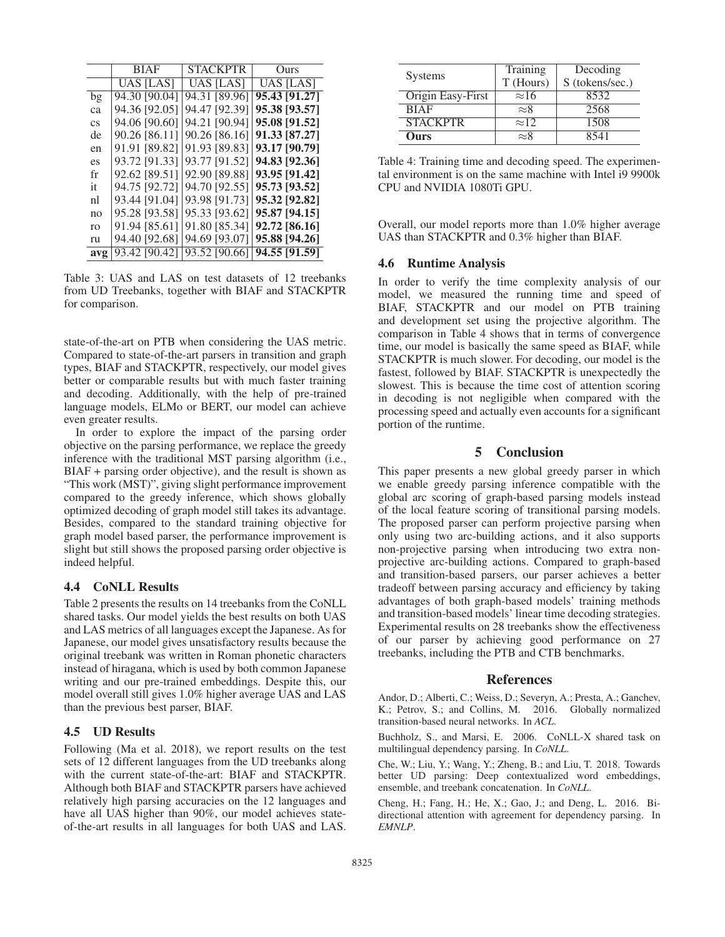|                        | <b>BIAF</b>   | STACKPTR      | Ours             |
|------------------------|---------------|---------------|------------------|
|                        | UAS [LAS]     | UAS [LAS]     | <b>UAS</b> [LAS] |
| bg                     | 94.30 [90.04] | 94.31 [89.96] | 95.43 [91.27]    |
| ca                     | 94.36 [92.05] | 94.47 [92.39] | 95.38 [93.57]    |
| $\overline{\text{cs}}$ | 94.06 [90.60] | 94.21 [90.94] | 95.08 [91.52]    |
| de                     | 90.26 [86.11] | 90.26 [86.16] | 91.33 [87.27]    |
| en                     | 91.91 [89.82] | 91.93 [89.83] | 93.17 [90.79]    |
| es                     | 93.72 [91.33] | 93.77 [91.52] | 94.83 [92.36]    |
| fr                     | 92.62 [89.51] | 92.90 [89.88] | 93.95 [91.42]    |
| it                     | 94.75 [92.72] | 94.70 [92.55] | 95.73 [93.52]    |
| nl                     | 93.44 [91.04] | 93.98 [91.73] | 95.32 [92.82]    |
| no                     | 95.28 [93.58] | 95.33 [93.62] | 95.87 [94.15]    |
| ro                     | 91.94 [85.61] | 91.80 [85.34] | 92.72 [86.16]    |
| ru                     | 94.40 [92.68] | 94.69 [93.07] | 95.88 [94.26]    |
| avg                    | 93.42 [90.42] | 93.52 [90.66] | 94.55 [91.59]    |

Table 3: UAS and LAS on test datasets of 12 treebanks from UD Treebanks, together with BIAF and STACKPTR for comparison.

state-of-the-art on PTB when considering the UAS metric. Compared to state-of-the-art parsers in transition and graph types, BIAF and STACKPTR, respectively, our model gives better or comparable results but with much faster training and decoding. Additionally, with the help of pre-trained language models, ELMo or BERT, our model can achieve even greater results.

In order to explore the impact of the parsing order objective on the parsing performance, we replace the greedy inference with the traditional MST parsing algorithm (i.e.,  $BIAF + parsing order objective$ , and the result is shown as "This work (MST)", giving slight performance improvement compared to the greedy inference, which shows globally optimized decoding of graph model still takes its advantage. Besides, compared to the standard training objective for graph model based parser, the performance improvement is slight but still shows the proposed parsing order objective is indeed helpful.

## **4.4 CoNLL Results**

Table 2 presents the results on 14 treebanks from the CoNLL shared tasks. Our model yields the best results on both UAS and LAS metrics of all languages except the Japanese. As for Japanese, our model gives unsatisfactory results because the original treebank was written in Roman phonetic characters instead of hiragana, which is used by both common Japanese writing and our pre-trained embeddings. Despite this, our model overall still gives 1.0% higher average UAS and LAS than the previous best parser, BIAF.

## 4.5 UD Results

Following (Ma et al. 2018), we report results on the test sets of 12 different languages from the UD treebanks along with the current state-of-the-art: BIAF and STACKPTR. Although both BIAF and STACKPTR parsers have achieved relatively high parsing accuracies on the 12 languages and have all UAS higher than 90%, our model achieves stateof-the-art results in all languages for both UAS and LAS.

| <b>Systems</b>    | Training     | Decoding        |  |  |
|-------------------|--------------|-----------------|--|--|
|                   | T (Hours)    | S (tokens/sec.) |  |  |
| Origin Easy-First | $\approx$ 16 | 8532            |  |  |
| <b>BIAF</b>       | $\approx$ 8  | 2568            |  |  |
| <b>STACKPTR</b>   | $\approx$ 12 | 1508            |  |  |
| Ours              | $\approx$ 8  | 8541            |  |  |

Table 4: Training time and decoding speed. The experimental environment is on the same machine with Intel i9 9900k CPU and NVIDIA 1080Ti GPU.

Overall, our model reports more than 1.0% higher average UAS than STACKPTR and 0.3% higher than BIAF.

## **4.6 Runtime Analysis**

In order to verify the time complexity analysis of our model, we measured the running time and speed of BIAF, STACKPTR and our model on PTB training and development set using the projective algorithm. The comparison in Table 4 shows that in terms of convergence time, our model is basically the same speed as BIAF, while STACKPTR is much slower. For decoding, our model is the fastest, followed by BIAF. STACKPTR is unexpectedly the slowest. This is because the time cost of attention scoring in decoding is not negligible when compared with the processing speed and actually even accounts for a significant portion of the runtime.

#### 5 **Conclusion**

This paper presents a new global greedy parser in which we enable greedy parsing inference compatible with the global arc scoring of graph-based parsing models instead of the local feature scoring of transitional parsing models. The proposed parser can perform projective parsing when only using two arc-building actions, and it also supports non-projective parsing when introducing two extra nonprojective arc-building actions. Compared to graph-based and transition-based parsers, our parser achieves a better tradeoff between parsing accuracy and efficiency by taking advantages of both graph-based models' training methods and transition-based models' linear time decoding strategies. Experimental results on 28 treebanks show the effectiveness of our parser by achieving good performance on 27 treebanks, including the PTB and CTB benchmarks.

## **References**

Andor, D.; Alberti, C.; Weiss, D.; Severyn, A.; Presta, A.; Ganchev, K.; Petrov, S.; and Collins, M. 2016. Globally normalized transition-based neural networks. In ACL.

Buchholz, S., and Marsi, E. 2006. CoNLL-X shared task on multilingual dependency parsing. In CoNLL.

Che, W.; Liu, Y.; Wang, Y.; Zheng, B.; and Liu, T. 2018. Towards better UD parsing: Deep contextualized word embeddings, ensemble, and treebank concatenation. In CoNLL.

Cheng, H.; Fang, H.; He, X.; Gao, J.; and Deng, L. 2016. Bidirectional attention with agreement for dependency parsing. In EMNLP.